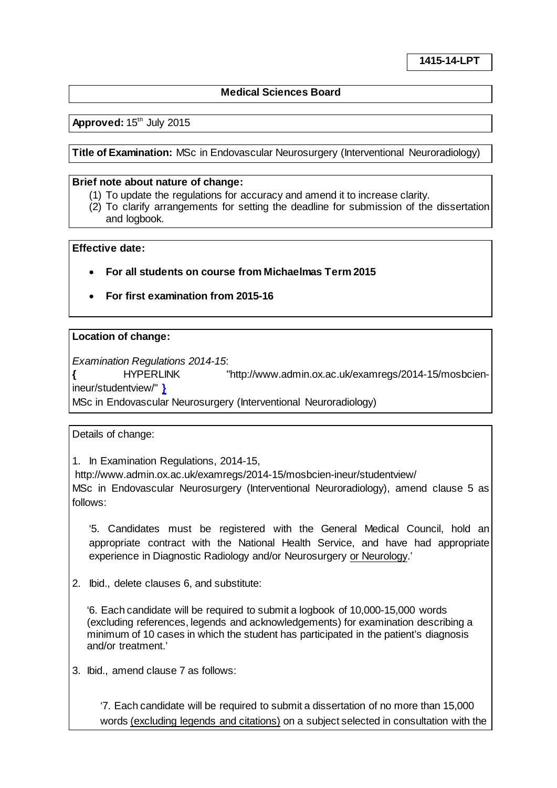# **Medical Sciences Board**

# **Approved: 15th July 2015**

**Title of Examination:** MSc in Endovascular Neurosurgery (Interventional Neuroradiology)

### **Brief note about nature of change:**

- (1) To update the regulations for accuracy and amend it to increase clarity.
- (2) To clarify arrangements for setting the deadline for submission of the dissertation and logbook.

## **Effective date:**

- **For all students on course from Michaelmas Term 2015**
- **For first examination from 2015-16**

### **Location of change:**

*Examination Regulations 2014-15*:

**{** [HYPERLINK "http://www.admin.ox.ac.uk/examregs/2014-15/mosbcien](http://www.admin.ox.ac.uk/examregs/2014-15/mosbcien-ineur/studentview/)[ineur/studentview/"](http://www.admin.ox.ac.uk/examregs/2014-15/mosbcien-ineur/studentview/) **}**

MSc in Endovascular Neurosurgery (Interventional Neuroradiology)

Details of change:

1. In Examination Regulations, 2014-15,

http://www.admin.ox.ac.uk/examregs/2014-15/mosbcien-ineur/studentview/ MSc in Endovascular Neurosurgery (Interventional Neuroradiology), amend clause 5 as follows:

'5. Candidates must be registered with the General Medical Council, hold an appropriate contract with the National Health Service, and have had appropriate experience in Diagnostic Radiology and/or Neurosurgery or Neurology.'

2. Ibid., delete clauses 6, and substitute:

'6. Each candidate will be required to submit a logbook of 10,000-15,000 words (excluding references, legends and acknowledgements) for examination describing a minimum of 10 cases in which the student has participated in the patient's diagnosis and/or treatment.'

3. Ibid., amend clause 7 as follows:

'7. Each candidate will be required to submit a dissertation of no more than 15,000 words (excluding legends and citations) on a subject selected in consultation with the